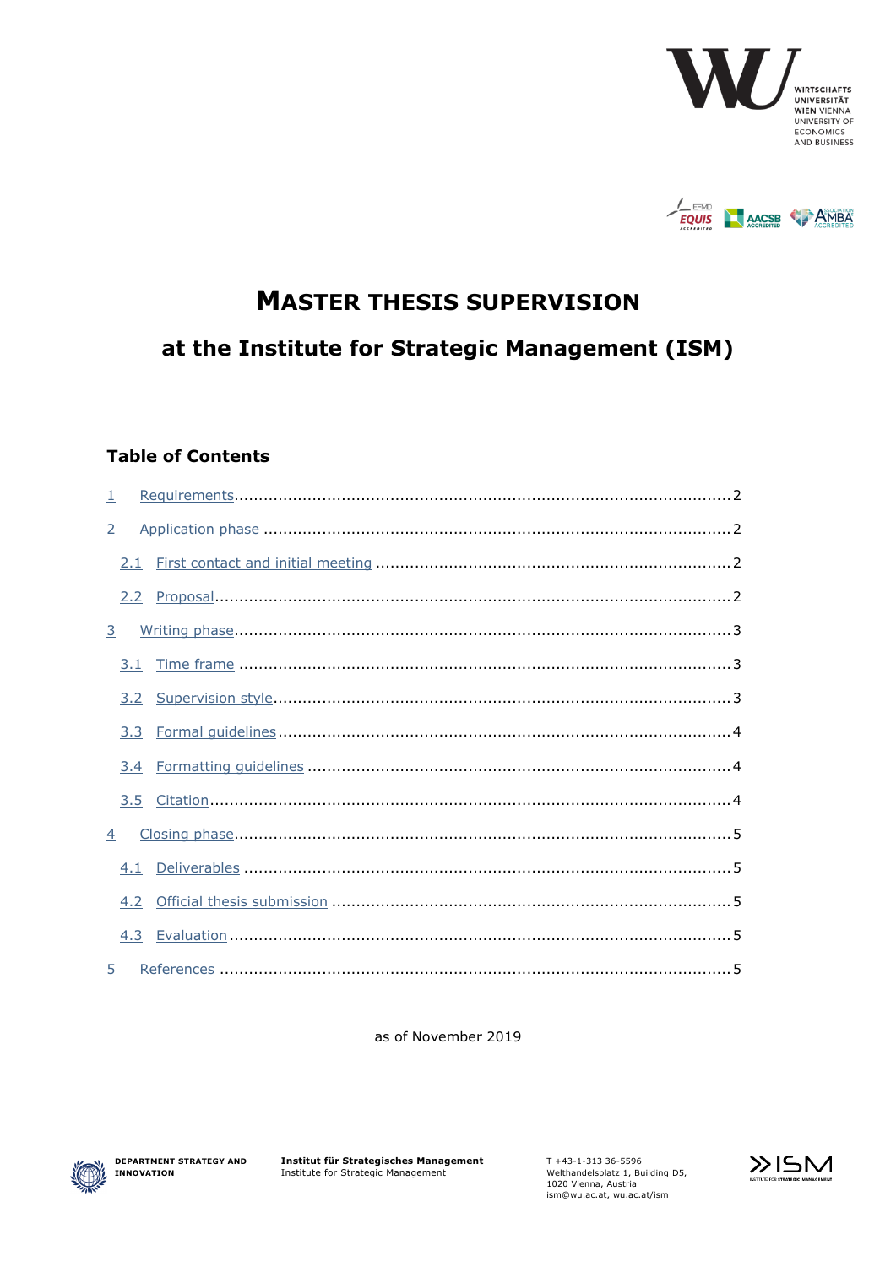



# **MASTER THESIS SUPERVISION**

# at the Institute for Strategic Management (ISM)

### **Table of Contents**

| $\mathbf{1}$   |               |  |
|----------------|---------------|--|
| $\overline{2}$ |               |  |
|                |               |  |
|                |               |  |
| 3              |               |  |
|                | 3.1           |  |
|                | 3.2           |  |
|                |               |  |
|                | 3.4           |  |
|                |               |  |
| 4              |               |  |
|                |               |  |
|                | $4.2^{\circ}$ |  |
|                |               |  |
| 5              |               |  |

#### <span id="page-0-0"></span>as of November 2019

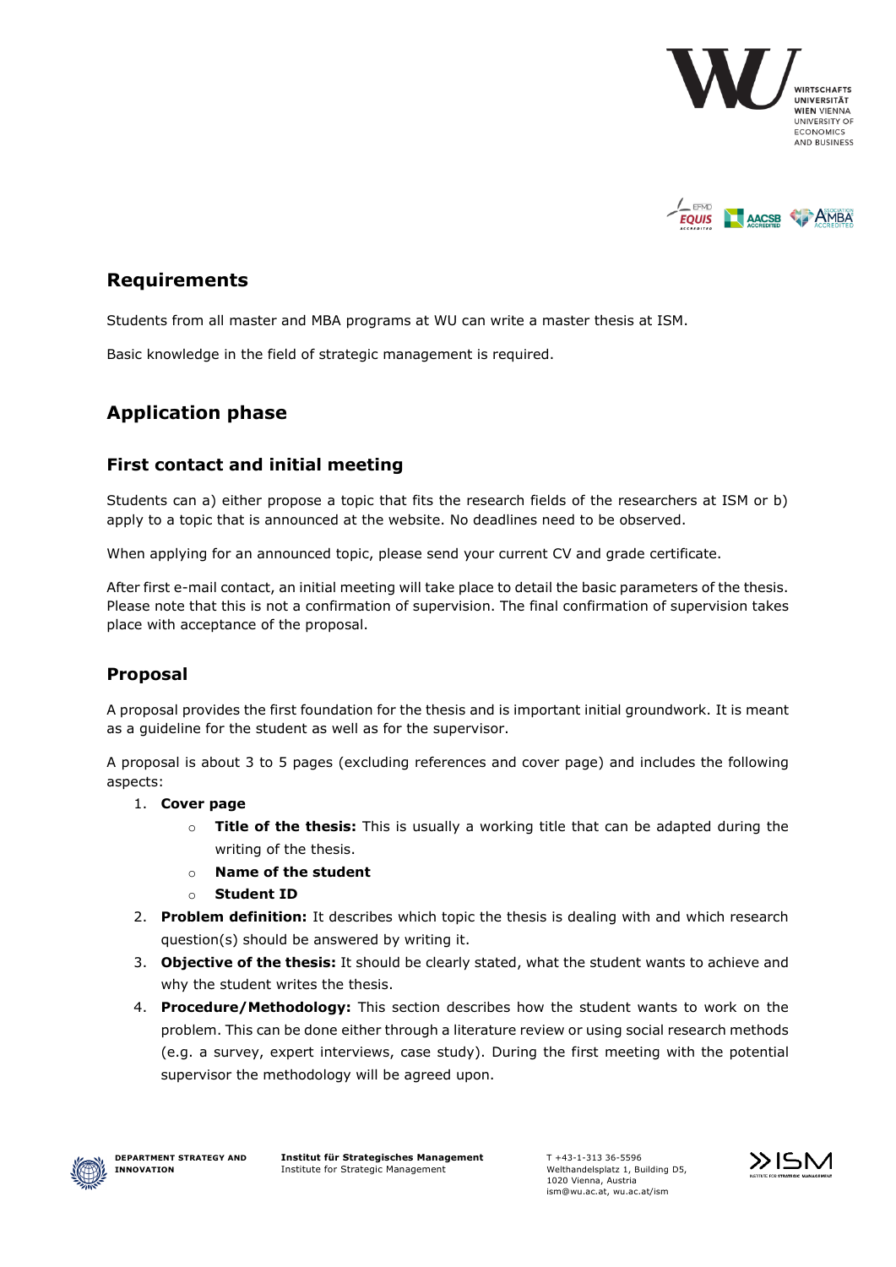



## **Requirements**

Students from all master and MBA programs at WU can write a master thesis at ISM.

<span id="page-1-0"></span>Basic knowledge in the field of strategic management is required.

## **Application phase**

### <span id="page-1-1"></span>**First contact and initial meeting**

Students can a) either propose a topic that fits the research fields of the researchers at ISM or b) apply to a topic that is announced at the website. No deadlines need to be observed.

When applying for an announced topic, please send your current CV and grade certificate.

After first e-mail contact, an initial meeting will take place to detail the basic parameters of the thesis. Please note that this is not a confirmation of supervision. The final confirmation of supervision takes place with acceptance of the proposal.

## <span id="page-1-2"></span>**Proposal**

A proposal provides the first foundation for the thesis and is important initial groundwork. It is meant as a guideline for the student as well as for the supervisor.

A proposal is about 3 to 5 pages (excluding references and cover page) and includes the following aspects:

#### 1. **Cover page**

- o **Title of the thesis:** This is usually a working title that can be adapted during the writing of the thesis.
- o **Name of the student**
- o **Student ID**
- 2. **Problem definition:** It describes which topic the thesis is dealing with and which research question(s) should be answered by writing it.
- 3. **Objective of the thesis:** It should be clearly stated, what the student wants to achieve and why the student writes the thesis.
- 4. **Procedure/Methodology:** This section describes how the student wants to work on the problem. This can be done either through a literature review or using social research methods (e.g. a survey, expert interviews, case study). During the first meeting with the potential supervisor the methodology will be agreed upon.



**Institut für Strategisches Management** Institute for Strategic Management

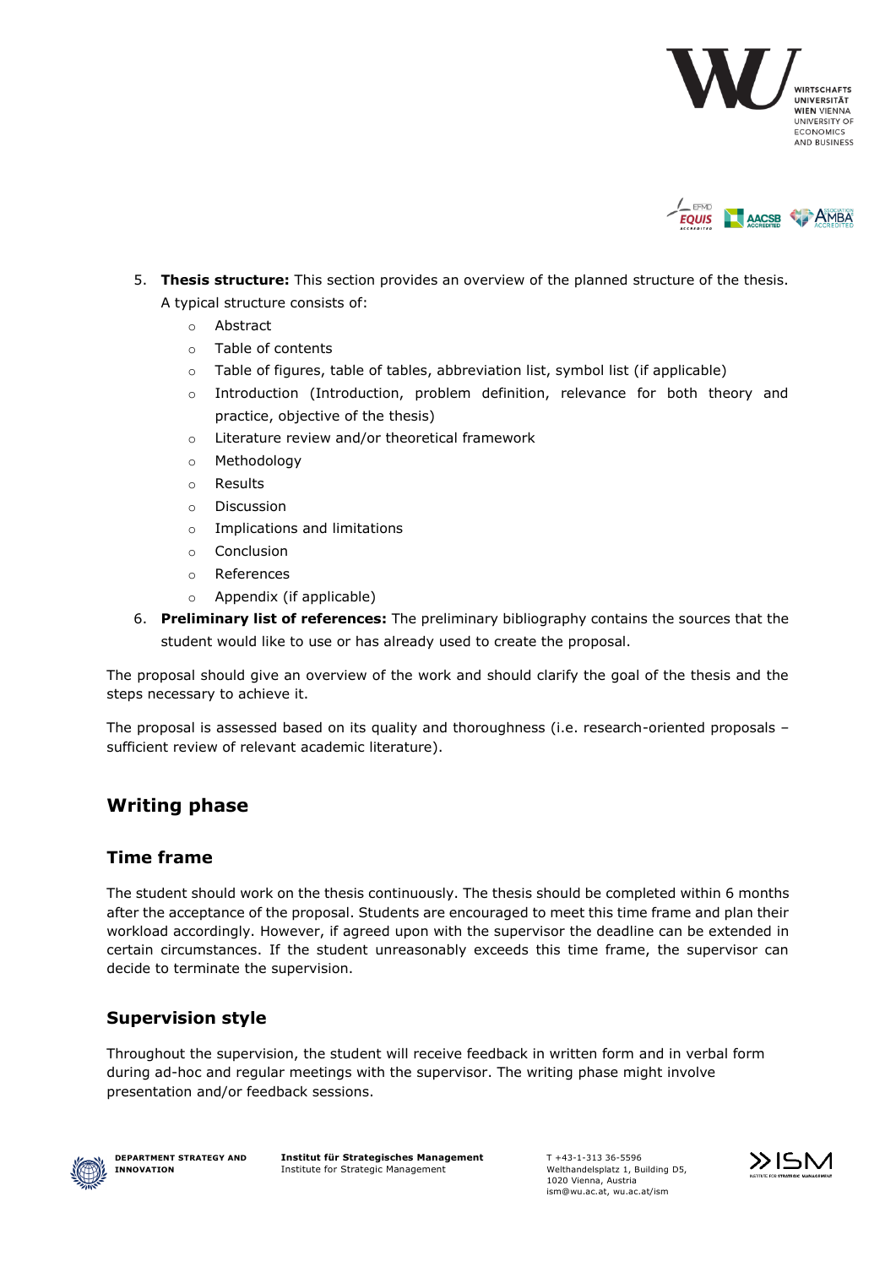



- 5. **Thesis structure:** This section provides an overview of the planned structure of the thesis. A typical structure consists of:
	- o Abstract
	- o Table of contents
	- o Table of figures, table of tables, abbreviation list, symbol list (if applicable)
	- $\circ$  Introduction (Introduction, problem definition, relevance for both theory and practice, objective of the thesis)
	- o Literature review and/or theoretical framework
	- o Methodology
	- o Results
	- o Discussion
	- o Implications and limitations
	- o Conclusion
	- o References
	- o Appendix (if applicable)
- 6. **Preliminary list of references:** The preliminary bibliography contains the sources that the student would like to use or has already used to create the proposal.

The proposal should give an overview of the work and should clarify the goal of the thesis and the steps necessary to achieve it.

<span id="page-2-0"></span>The proposal is assessed based on its quality and thoroughness (i.e. research-oriented proposals – sufficient review of relevant academic literature).

## **Writing phase**

#### <span id="page-2-1"></span>**Time frame**

The student should work on the thesis continuously. The thesis should be completed within 6 months after the acceptance of the proposal. Students are encouraged to meet this time frame and plan their workload accordingly. However, if agreed upon with the supervisor the deadline can be extended in certain circumstances. If the student unreasonably exceeds this time frame, the supervisor can decide to terminate the supervision.

#### <span id="page-2-2"></span>**Supervision style**

Throughout the supervision, the student will receive feedback in written form and in verbal form during ad-hoc and regular meetings with the supervisor. The writing phase might involve presentation and/or feedback sessions.



**Institut für Strategisches Management** Institute for Strategic Management

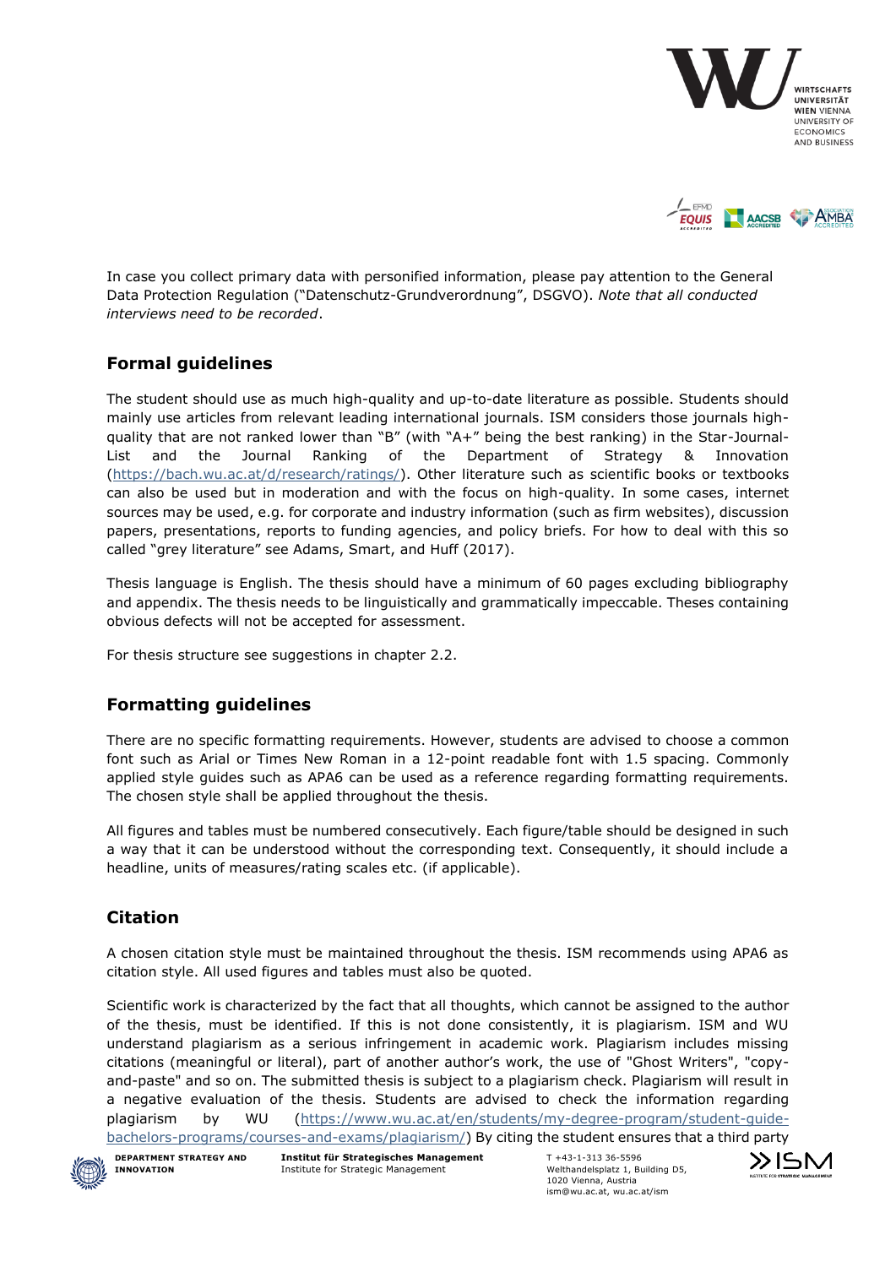



In case you collect primary data with personified information, please pay attention to the General Data Protection Regulation ("Datenschutz-Grundverordnung", DSGVO). *Note that all conducted interviews need to be recorded*.

#### <span id="page-3-0"></span>**Formal guidelines**

The student should use as much high-quality and up-to-date literature as possible. Students should mainly use articles from relevant leading international journals. ISM considers those journals highquality that are not ranked lower than "B" (with "A+" being the best ranking) in the Star-Journal-List and the Journal Ranking of the Department of Strategy & Innovation [\(https://bach.wu.ac.at/d/research/ratings/\)](https://bach.wu.ac.at/d/research/ratings/). Other literature such as scientific books or textbooks can also be used but in moderation and with the focus on high-quality. In some cases, internet sources may be used, e.g. for corporate and industry information (such as firm websites), discussion papers, presentations, reports to funding agencies, and policy briefs. For how to deal with this so called "grey literature" see Adams, Smart, and Huff (2017).

Thesis language is English. The thesis should have a minimum of 60 pages excluding bibliography and appendix. The thesis needs to be linguistically and grammatically impeccable. Theses containing obvious defects will not be accepted for assessment.

<span id="page-3-1"></span>For thesis structure see suggestions in chapter 2.2.

#### **Formatting guidelines**

There are no specific formatting requirements. However, students are advised to choose a common font such as Arial or Times New Roman in a 12-point readable font with 1.5 spacing. Commonly applied style guides such as APA6 can be used as a reference regarding formatting requirements. The chosen style shall be applied throughout the thesis.

All figures and tables must be numbered consecutively. Each figure/table should be designed in such a way that it can be understood without the corresponding text. Consequently, it should include a headline, units of measures/rating scales etc. (if applicable).

#### <span id="page-3-2"></span>**Citation**

A chosen citation style must be maintained throughout the thesis. ISM recommends using APA6 as citation style. All used figures and tables must also be quoted.

Scientific work is characterized by the fact that all thoughts, which cannot be assigned to the author of the thesis, must be identified. If this is not done consistently, it is plagiarism. ISM and WU understand plagiarism as a serious infringement in academic work. Plagiarism includes missing citations (meaningful or literal), part of another author's work, the use of "Ghost Writers", "copyand-paste" and so on. The submitted thesis is subject to a plagiarism check. Plagiarism will result in a negative evaluation of the thesis. Students are advised to check the information regarding plagiarism by WU [\(https://www.wu.ac.at/en/students/my-degree-program/student-guide](https://www.wu.ac.at/en/students/my-degree-program/student-guide-bachelors-programs/courses-and-exams/plagiarism/)[bachelors-programs/courses-and-exams/plagiarism/\)](https://www.wu.ac.at/en/students/my-degree-program/student-guide-bachelors-programs/courses-and-exams/plagiarism/) By citing the student ensures that a third party



**DEPARTMENT STRATEGY AND INNOVATION**

**Institut für Strategisches Management** Institute for Strategic Management

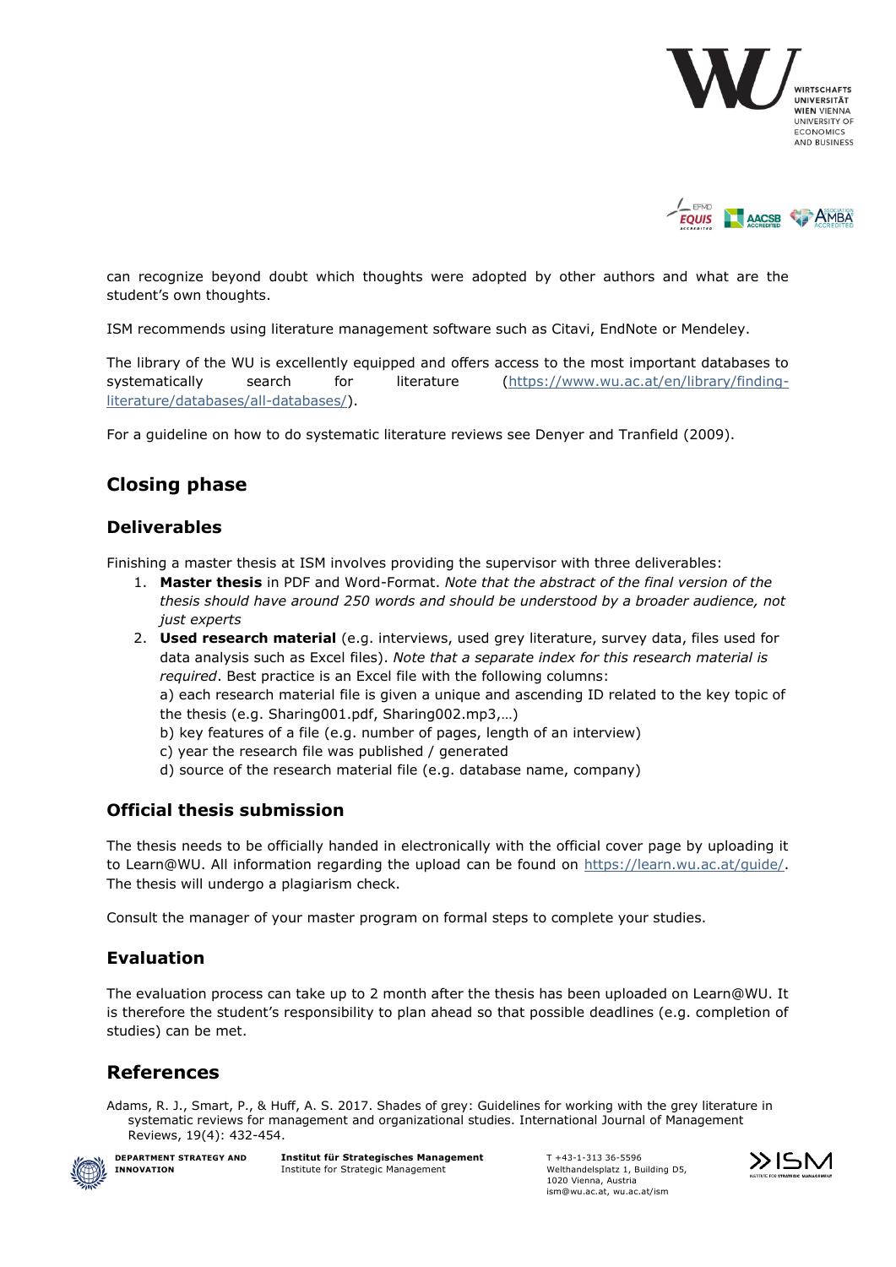



can recognize beyond doubt which thoughts were adopted by other authors and what are the student's own thoughts.

ISM recommends using literature management software such as Citavi, EndNote or Mendeley.

The library of the WU is excellently equipped and offers access to the most important databases to systematically search for literature [\(https://www.wu.ac.at/en/library/finding](https://www.wu.ac.at/en/library/finding-literature/databases/all-databases/)[literature/databases/all-databases/\)](https://www.wu.ac.at/en/library/finding-literature/databases/all-databases/).

<span id="page-4-0"></span>For a guideline on how to do systematic literature reviews see Denyer and Tranfield (2009).

## **Closing phase**

#### <span id="page-4-1"></span>**Deliverables**

Finishing a master thesis at ISM involves providing the supervisor with three deliverables:

- 1. **Master thesis** in PDF and Word-Format. *Note that the abstract of the final version of the thesis should have around 250 words and should be understood by a broader audience, not just experts*
- 2. **Used research material** (e.g. interviews, used grey literature, survey data, files used for data analysis such as Excel files). *Note that a separate index for this research material is required*. Best practice is an Excel file with the following columns: a) each research material file is given a unique and ascending ID related to the key topic of the thesis (e.g. Sharing001.pdf, Sharing002.mp3,…)
	- b) key features of a file (e.g. number of pages, length of an interview)
	- c) year the research file was published / generated
	- d) source of the research material file (e.g. database name, company)

#### <span id="page-4-2"></span>**Official thesis submission**

The thesis needs to be officially handed in electronically with the official cover page by uploading it to Learn@WU. All information regarding the upload can be found on [https://learn.wu.ac.at/guide/.](https://learn.wu.ac.at/guide/) The thesis will undergo a plagiarism check.

<span id="page-4-3"></span>Consult the manager of your master program on formal steps to complete your studies.

#### **Evaluation**

The evaluation process can take up to 2 month after the thesis has been uploaded on Learn@WU. It is therefore the student's responsibility to plan ahead so that possible deadlines (e.g. completion of studies) can be met.

## <span id="page-4-4"></span>**References**

Adams, R. J., Smart, P., & Huff, A. S. 2017. Shades of grey: Guidelines for working with the grey literature in systematic reviews for management and organizational studies. International Journal of Management Reviews, 19(4): 432-454.

**DEPARTMENT STRATEGY AND INNOVATION**

**Institut für Strategisches Management** Institute for Strategic Management